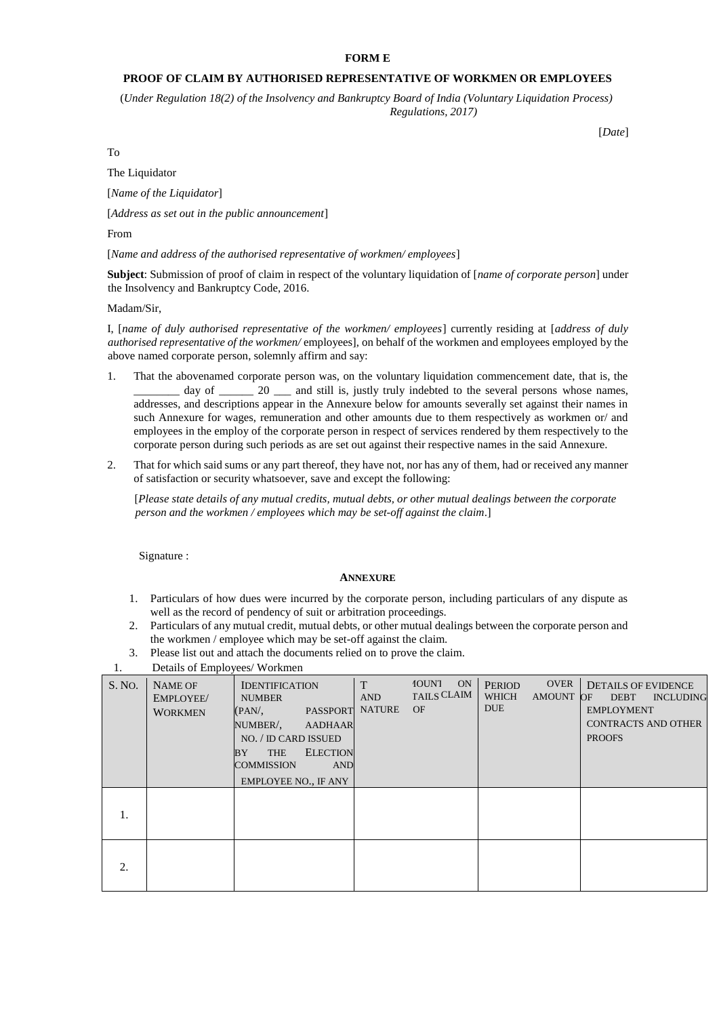## **FORM E**

## **PROOF OF CLAIM BY AUTHORISED REPRESENTATIVE OF WORKMEN OR EMPLOYEES**

(*Under Regulation 18(2) of the Insolvency and Bankruptcy Board of India (Voluntary Liquidation Process) Regulations, 2017)* 

[*Date*]

To

The Liquidator

[*Name of the Liquidator*]

[*Address as set out in the public announcement*]

From

[*Name and address of the authorised representative of workmen/ employees*]

**Subject**: Submission of proof of claim in respect of the voluntary liquidation of [*name of corporate person*] under the Insolvency and Bankruptcy Code, 2016.

Madam/Sir,

I, [*name of duly authorised representative of the workmen/ employees*] currently residing at [*address of duly authorised representative of the workmen/* employees], on behalf of the workmen and employees employed by the above named corporate person, solemnly affirm and say:

- 1. That the abovenamed corporate person was, on the voluntary liquidation commencement date, that is, the day of  $\frac{1}{20}$  and still is, justly truly indebted to the several persons whose names, addresses, and descriptions appear in the Annexure below for amounts severally set against their names in such Annexure for wages, remuneration and other amounts due to them respectively as workmen or/ and employees in the employ of the corporate person in respect of services rendered by them respectively to the corporate person during such periods as are set out against their respective names in the said Annexure.
- 2. That for which said sums or any part thereof, they have not, nor has any of them, had or received any manner of satisfaction or security whatsoever, save and except the following:

[*Please state details of any mutual credits, mutual debts, or other mutual dealings between the corporate person and the workmen / employees which may be set-off against the claim*.]

Signature :

#### **ANNEXURE**

- 1. Particulars of how dues were incurred by the corporate person, including particulars of any dispute as well as the record of pendency of suit or arbitration proceedings.
- 2. Particulars of any mutual credit, mutual debts, or other mutual dealings between the corporate person and the workmen / employee which may be set-off against the claim.
- 3. Please list out and attach the documents relied on to prove the claim.
- 1. Details of Employees/ Workmen

|        | $\mathbf{r}$                                  |                                                                                                                                                                                                               |                                  |                                                |                                                                  |                                                                                                                  |
|--------|-----------------------------------------------|---------------------------------------------------------------------------------------------------------------------------------------------------------------------------------------------------------------|----------------------------------|------------------------------------------------|------------------------------------------------------------------|------------------------------------------------------------------------------------------------------------------|
| S. NO. | <b>NAME OF</b><br>EMPLOYEE/<br><b>WORKMEN</b> | <b>IDENTIFICATION</b><br><b>NUMBER</b><br>PASSPORT<br>(PAN/,<br>NUMBER/,<br>AADHAAR<br>NO. / ID CARD ISSUED<br><b>ELECTION</b><br><b>THE</b><br>BY<br>COMMISSION<br><b>AND</b><br><b>EMPLOYEE NO., IF ANY</b> | T<br><b>AND</b><br><b>NATURE</b> | <b>IOUNT</b><br>ON<br>TAILS CLAIM<br><b>OF</b> | <b>OVER</b><br><b>PERIOD</b><br>WHICH<br>AMOUNT OF<br><b>DUE</b> | <b>DETAILS OF EVIDENCE</b><br>DEBT INCLUDING<br><b>EMPLOYMENT</b><br><b>CONTRACTS AND OTHER</b><br><b>PROOFS</b> |
| 1.     |                                               |                                                                                                                                                                                                               |                                  |                                                |                                                                  |                                                                                                                  |
| 2.     |                                               |                                                                                                                                                                                                               |                                  |                                                |                                                                  |                                                                                                                  |